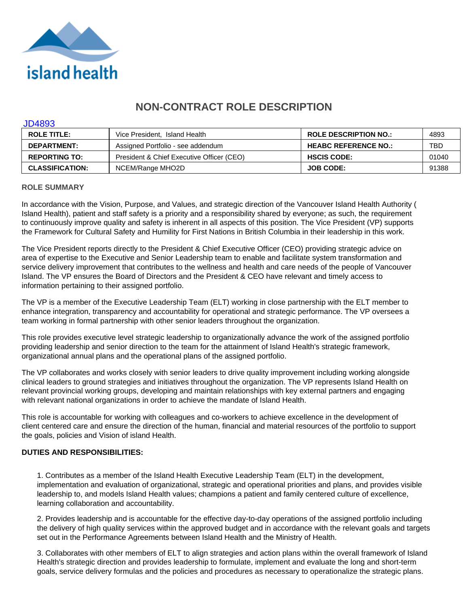

# **NON-CONTRACT ROLE DESCRIPTION**

#### JD4893

| <b>ROLE TITLE:</b>     | Vice President, Island Health             | <b>ROLE DESCRIPTION NO.:</b> | 4893  |
|------------------------|-------------------------------------------|------------------------------|-------|
| <b>DEPARTMENT:</b>     | Assigned Portfolio - see addendum         | <b>HEABC REFERENCE NO.:</b>  | TBD   |
| <b>REPORTING TO:</b>   | President & Chief Executive Officer (CEO) | <b>HSCIS CODE:</b>           | 01040 |
| <b>CLASSIFICATION:</b> | NCEM/Range MHO2D                          | <b>JOB CODE:</b>             | 91388 |

#### **ROLE SUMMARY**

In accordance with the Vision, Purpose, and Values, and strategic direction of the Vancouver Island Health Authority ( Island Health), patient and staff safety is a priority and a responsibility shared by everyone; as such, the requirement to continuously improve quality and safety is inherent in all aspects of this position. The Vice President (VP) supports the Framework for Cultural Safety and Humility for First Nations in British Columbia in their leadership in this work.

The Vice President reports directly to the President & Chief Executive Officer (CEO) providing strategic advice on area of expertise to the Executive and Senior Leadership team to enable and facilitate system transformation and service delivery improvement that contributes to the wellness and health and care needs of the people of Vancouver Island. The VP ensures the Board of Directors and the President & CEO have relevant and timely access to information pertaining to their assigned portfolio.

The VP is a member of the Executive Leadership Team (ELT) working in close partnership with the ELT member to enhance integration, transparency and accountability for operational and strategic performance. The VP oversees a team working in formal partnership with other senior leaders throughout the organization.

This role provides executive level strategic leadership to organizationally advance the work of the assigned portfolio providing leadership and senior direction to the team for the attainment of Island Health's strategic framework, organizational annual plans and the operational plans of the assigned portfolio.

The VP collaborates and works closely with senior leaders to drive quality improvement including working alongside clinical leaders to ground strategies and initiatives throughout the organization. The VP represents Island Health on relevant provincial working groups, developing and maintain relationships with key external partners and engaging with relevant national organizations in order to achieve the mandate of Island Health.

This role is accountable for working with colleagues and co-workers to achieve excellence in the development of client centered care and ensure the direction of the human, financial and material resources of the portfolio to support the goals, policies and Vision of island Health.

# **DUTIES AND RESPONSIBILITIES:**

1. Contributes as a member of the Island Health Executive Leadership Team (ELT) in the development, implementation and evaluation of organizational, strategic and operational priorities and plans, and provides visible leadership to, and models Island Health values; champions a patient and family centered culture of excellence, learning collaboration and accountability.

2. Provides leadership and is accountable for the effective day-to-day operations of the assigned portfolio including the delivery of high quality services within the approved budget and in accordance with the relevant goals and targets set out in the Performance Agreements between Island Health and the Ministry of Health.

3. Collaborates with other members of ELT to align strategies and action plans within the overall framework of Island Health's strategic direction and provides leadership to formulate, implement and evaluate the long and short-term goals, service delivery formulas and the policies and procedures as necessary to operationalize the strategic plans.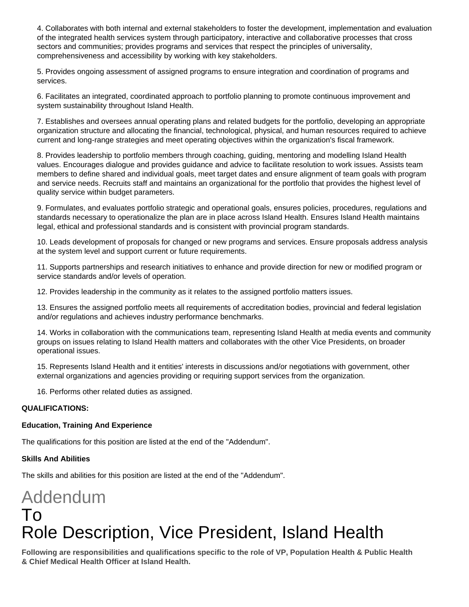4. Collaborates with both internal and external stakeholders to foster the development, implementation and evaluation of the integrated health services system through participatory, interactive and collaborative processes that cross sectors and communities; provides programs and services that respect the principles of universality, comprehensiveness and accessibility by working with key stakeholders.

5. Provides ongoing assessment of assigned programs to ensure integration and coordination of programs and services.

6. Facilitates an integrated, coordinated approach to portfolio planning to promote continuous improvement and system sustainability throughout Island Health.

7. Establishes and oversees annual operating plans and related budgets for the portfolio, developing an appropriate organization structure and allocating the financial, technological, physical, and human resources required to achieve current and long-range strategies and meet operating objectives within the organization's fiscal framework.

8. Provides leadership to portfolio members through coaching, guiding, mentoring and modelling Island Health values. Encourages dialogue and provides guidance and advice to facilitate resolution to work issues. Assists team members to define shared and individual goals, meet target dates and ensure alignment of team goals with program and service needs. Recruits staff and maintains an organizational for the portfolio that provides the highest level of quality service within budget parameters.

9. Formulates, and evaluates portfolio strategic and operational goals, ensures policies, procedures, regulations and standards necessary to operationalize the plan are in place across Island Health. Ensures Island Health maintains legal, ethical and professional standards and is consistent with provincial program standards.

10. Leads development of proposals for changed or new programs and services. Ensure proposals address analysis at the system level and support current or future requirements.

11. Supports partnerships and research initiatives to enhance and provide direction for new or modified program or service standards and/or levels of operation.

12. Provides leadership in the community as it relates to the assigned portfolio matters issues.

13. Ensures the assigned portfolio meets all requirements of accreditation bodies, provincial and federal legislation and/or regulations and achieves industry performance benchmarks.

14. Works in collaboration with the communications team, representing Island Health at media events and community groups on issues relating to Island Health matters and collaborates with the other Vice Presidents, on broader operational issues.

15. Represents Island Health and it entities' interests in discussions and/or negotiations with government, other external organizations and agencies providing or requiring support services from the organization.

16. Performs other related duties as assigned.

# **QUALIFICATIONS:**

# **Education, Training And Experience**

The qualifications for this position are listed at the end of the "Addendum".

#### **Skills And Abilities**

The skills and abilities for this position are listed at the end of the "Addendum".

# Addendum To Role Description, Vice President, Island Health

**Following are responsibilities and qualifications specific to the role of VP, Population Health & Public Health & Chief Medical Health Officer at Island Health.**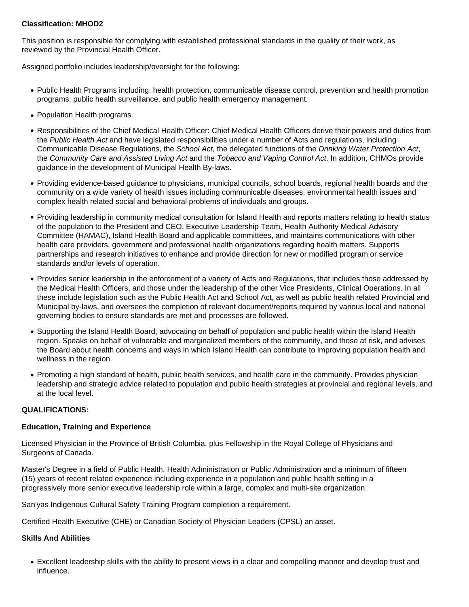# **Classification: MHOD2**

This position is responsible for complying with established professional standards in the quality of their work, as reviewed by the Provincial Health Officer.

Assigned portfolio includes leadership/oversight for the following:

- Public Health Programs including: health protection, communicable disease control, prevention and health promotion programs, public health surveillance, and public health emergency management.
- Population Health programs.
- Responsibilities of the Chief Medical Health Officer: Chief Medical Health Officers derive their powers and duties from the Public Health Act and have legislated responsibilities under a number of Acts and regulations, including Communicable Disease Regulations, the School Act, the delegated functions of the Drinking Water Protection Act, the Community Care and Assisted Living Act and the Tobacco and Vaping Control Act. In addition, CHMOs provide guidance in the development of Municipal Health By-laws.
- Providing evidence-based guidance to physicians, municipal councils, school boards, regional health boards and the community on a wide variety of health issues including communicable diseases, environmental health issues and complex health related social and behavioral problems of individuals and groups.
- Providing leadership in community medical consultation for Island Health and reports matters relating to health status of the population to the President and CEO, Executive Leadership Team, Health Authority Medical Advisory Committee (HAMAC), Island Health Board and applicable committees, and maintains communications with other health care providers, government and professional health organizations regarding health matters. Supports partnerships and research initiatives to enhance and provide direction for new or modified program or service standards and/or levels of operation.
- Provides senior leadership in the enforcement of a variety of Acts and Regulations, that includes those addressed by the Medical Health Officers, and those under the leadership of the other Vice Presidents, Clinical Operations. In all these include legislation such as the Public Health Act and School Act, as well as public health related Provincial and Municipal by-laws, and oversees the completion of relevant document/reports required by various local and national governing bodies to ensure standards are met and processes are followed.
- Supporting the Island Health Board, advocating on behalf of population and public health within the Island Health region. Speaks on behalf of vulnerable and marginalized members of the community, and those at risk, and advises the Board about health concerns and ways in which Island Health can contribute to improving population health and wellness in the region.
- Promoting a high standard of health, public health services, and health care in the community. Provides physician leadership and strategic advice related to population and public health strategies at provincial and regional levels, and at the local level.

# **QUALIFICATIONS:**

#### **Education, Training and Experience**

Licensed Physician in the Province of British Columbia, plus Fellowship in the Royal College of Physicians and Surgeons of Canada.

Master's Degree in a field of Public Health, Health Administration or Public Administration and a minimum of fifteen (15) years of recent related experience including experience in a population and public health setting in a progressively more senior executive leadership role within a large, complex and multi-site organization.

San'yas Indigenous Cultural Safety Training Program completion a requirement.

Certified Health Executive (CHE) or Canadian Society of Physician Leaders (CPSL) an asset.

#### **Skills And Abilities**

Excellent leadership skills with the ability to present views in a clear and compelling manner and develop trust and influence.